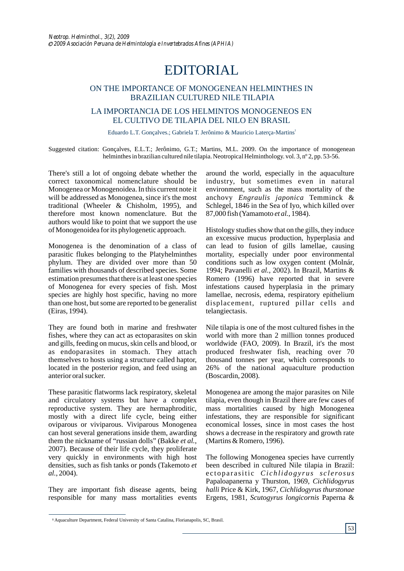## EDITORIAL

## ON THE IMPORTANCE OF MONOGENEAN HELMINTHES IN BRAZILIAN CULTURED NILE TILAPIA

## LA IMPORTANCIA DE LOS HELMINTOS MONOGENEOS EN EL CULTIVO DE TILAPIA DEL NILO EN BRASIL

Eduardo L.T. Gonçalves.; Gabriela T. Jerônimo & Mauricio Laterça-Martins<sup>1</sup>

Suggested citation: Gonçalves, E.L.T.; Jerônimo, G.T.; Martins, M.L. 2009. On the importance of monogenean helminthes in brazilian cultured nile tilapia. Neotropical Helminthology. vol. 3, n° 2, pp. 53-56.

There's still a lot of ongoing debate whether the correct taxonomical nomenclature should be Monogenea or Monogenoidea. In this current note it will be addressed as Monogenea, since it's the most traditional (Wheeler & Chisholm, 1995), and therefore most known nomenclature. But the authors would like to point that we support the use of Monogenoidea for its phylogenetic approach.

Monogenea is the denomination of a class of parasitic flukes belonging to the Platyhelminthes phylum. They are divided over more than 50 families with thousands of described species. Some estimation presumes that there is at least one species of Monogenea for every species of fish. Most species are highly host specific, having no more than one host, but some are reported to be generalist (Eiras, 1994).

They are found both in marine and freshwater fishes, where they can act as ectoparasites on skin and gills, feeding on mucus, skin cells and blood, or as endoparasites in stomach. They attach themselves to hosts using a structure called haptor, located in the posterior region, and feed using an anterior oral sucker.

These parasitic flatworms lack respiratory, skeletal and circulatory systems but have a complex reproductive system. They are hermaphroditic, mostly with a direct life cycle, being either oviparous or viviparous. Viviparous Monogenea can host several generations inside them, awarding them the nickname of "russian dolls" (Bakke *et al.*, 2007). Because of their life cycle, they proliferate very quickly in environments with high host densities, such as fish tanks or ponds (Takemoto *et al.*, 2004).

They are important fish disease agents, being responsible for many mass mortalities events

around the world, especially in the aquaculture industry, but sometimes even in natural environment, such as the mass mortality of the anchovy *Engraulis japonica* Temminck & Schlegel, 1846 in the Sea of Iyo, which killed over 87,000 fish (Yamamoto *et al.*, 1984).

Histology studies show that on the gills, they induce an excessive mucus production, hyperplasia and can lead to fusion of gills lamellae, causing mortality, especially under poor environmental conditions such as low oxygen content (Molnár, 1994; Pavanelli *et al.*, 2002). In Brazil, Martins & Romero (1996) have reported that in severe infestations caused hyperplasia in the primary lamellae, necrosis, edema, respiratory epithelium displacement, ruptured pillar cells and telangiectasis.

Nile tilapia is one of the most cultured fishes in the world with more than 2 million tonnes produced worldwide (FAO, 2009). In Brazil, it's the most produced freshwater fish, reaching over 70 thousand tonnes per year, which corresponds to 26% of the national aquaculture production (Boscardin, 2008).

Monogenea are among the major parasites on Nile tilapia, even though in Brazil there are few cases of mass mortalities caused by high Monogenea infestations, they are responsible for significant economical losses, since in most cases the host shows a decrease in the respiratory and growth rate (Martins & Romero, 1996).

The following Monogenea species have currently been described in cultured Nile tilapia in Brazil: ectoparasitic *Cichlidogyrus sclerosus* Papaloapanerna y Thurston, 1969, *Cichlidogyrus halli* Price & Kirk, 1967, *Cichlidogyrus thurstonae*  Ergens, 1981*, Scutogyrus longicornis* Paperna &

<sup>&</sup>lt;sup>1</sup> Aquaculture Department, Federal University of Santa Catalina, Florianapolis, SC, Brasil.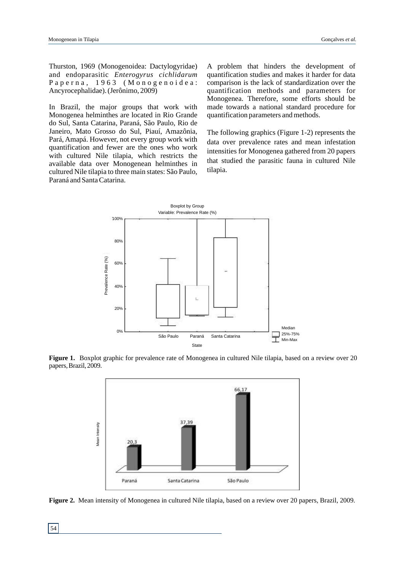Thurston, 1969 (Monogenoidea: Dactylogyridae) and endoparasitic *Enterogyrus cichlidarum* Paperna, 1963 (Monogenoidea: Ancyrocephalidae). (Jerônimo, 2009)

In Brazil, the major groups that work with Monogenea helminthes are located in Rio Grande do Sul, Santa Catarina, Paraná, São Paulo, Rio de Janeiro, Mato Grosso do Sul, Piauí, Amazônia, Pará, Amapá. However, not every group work with quantification and fewer are the ones who work with cultured Nile tilapia, which restricts the available data over Monogenean helminthes in cultured Nile tilapia to three main states: São Paulo, Paraná and Santa Catarina.

A problem that hinders the development of quantification studies and makes it harder for data comparison is the lack of standardization over the quantification methods and parameters for Monogenea. Therefore, some efforts should be made towards a national standard procedure for quantification parameters and methods.

The following graphics (Figure 1-2) represents the data over prevalence rates and mean infestation intensities for Monogenea gathered from 20 papers that studied the parasitic fauna in cultured Nile tilapia.



**Figure 1.** Boxplot graphic for prevalence rate of Monogenea in cultured Nile tilapia, based on a review over 20 papers, Brazil, 2009.



**Figure 2.** Mean intensity of Monogenea in cultured Nile tilapia, based on a review over 20 papers, Brazil, 2009.

54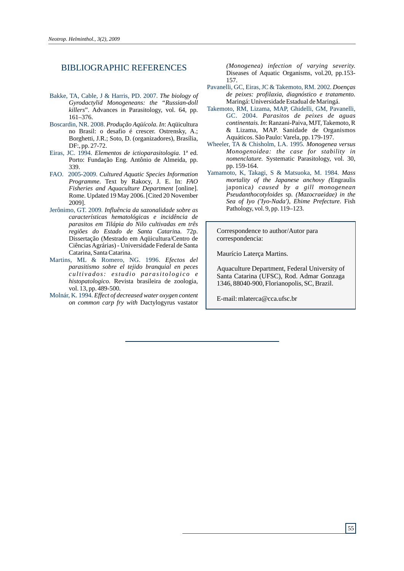## BIBLIOGRAPHIC REFERENCES

- Bakke, TA, Cable, J & Harris, PD. 2007. *The biology of Gyrodactylid Monogeneans: the "Russian-doll killers*". Advances in Parasitology, vol. 64, pp. 161–376.
- Boscardin, NR. 2008. *Produção Aqüícola*. *In*: Aqüicultura no Brasil: o desafio é crescer. Ostrensky, A.; Borghetti, J.R.; Soto, D. (organizadores), Brasília, DF:, pp. 27-72.
- Eiras, JC. 1994. *Elementos de ictioparasitologia*. 1ª ed. Porto: Fundação Eng. Antônio de Almeida, pp. 339.
- FAO. 2005-2009. *Cultured Aquatic Species Information Programme*. Text by Rakocy, J. E. In: *FAO Fisheries and Aquaculture Department* [online]. Rome. Updated 19 May 2006. [Cited 20 November 2009].
- Jerônimo, GT. 2009*. Influência da sazonalidade sobre as características hematológicas e incidência de parasitos em Tilápia do Nilo cultivadas em três regiões do Estado de Santa Catari*na. 72p. Dissertação (Mestrado em Aqüicultura/Centro de Ciências Agrárias) - Universidade Federal de Santa Catarina, Santa Catarina.
- Martins, ML & Romero, NG. 1996. *Efectos del parasitismo sobre el tejido branquial en peces*  cultivados: estudio parasitologico e *histopatologico.* Revista brasileira de zoologia*,*  vol. 13, pp. 489-500.
- Molnár, K. 1994. *Effect of decreased water oxygen content on common carp fry with* Dactylogyrus vastator

*(Monogenea) infection of varying severity.* Diseases of Aquatic Organisms*,* vol.20, pp.153- 157.

- Pavanelli, GC, Eiras, JC & Takemoto, RM. 2002. Doenças *de peixes: profilaxia, diagnóstico e tratamento.*  Maringá: Universidade Estadual de Maringá.
- *Parasitos de peixes de aguas* GC. 2004. *continentais.In*: Ranzani-Paiva, MJT, Takemoto, R & Lizama, MAP. Sanidade de Organismos Aquáticos. São Paulo: Varela, pp. 179-197. Takemoto, RM, Lizama, MAP, Ghidelli, GM, Pavanelli,
- *Monogenea versus*  Wheeler, TA & Chisholm, LA. 1995. *Monogenoidea: the case for stability in nomenclature.* Systematic Parasitology, vol. 30, pp. 159-164.
- Yamamoto, K, Takagi, S & Matsuoka, M. 1984. Mass *mortality of the Japanese anchovy (*Engraulis japonica*) caused by a gill monogenean Pseudanthocotyloides* sp*. (Mazocraeidae) in the Sea of Iyo ('Iyo-Nada'), Ehime Prefecture*. Fish Pathology, vol. 9, pp. 119–123.

Correspondence to author/Autor para correspondencia:

Maurício Laterça Martins.

Aquaculture Department, Federal University of Santa Catarina (UFSC), Rod. Admar Gonzaga 1346, 88040-900, Florianopolis, SC, Brazil.

E-mail: mlaterca@cca.ufsc.br